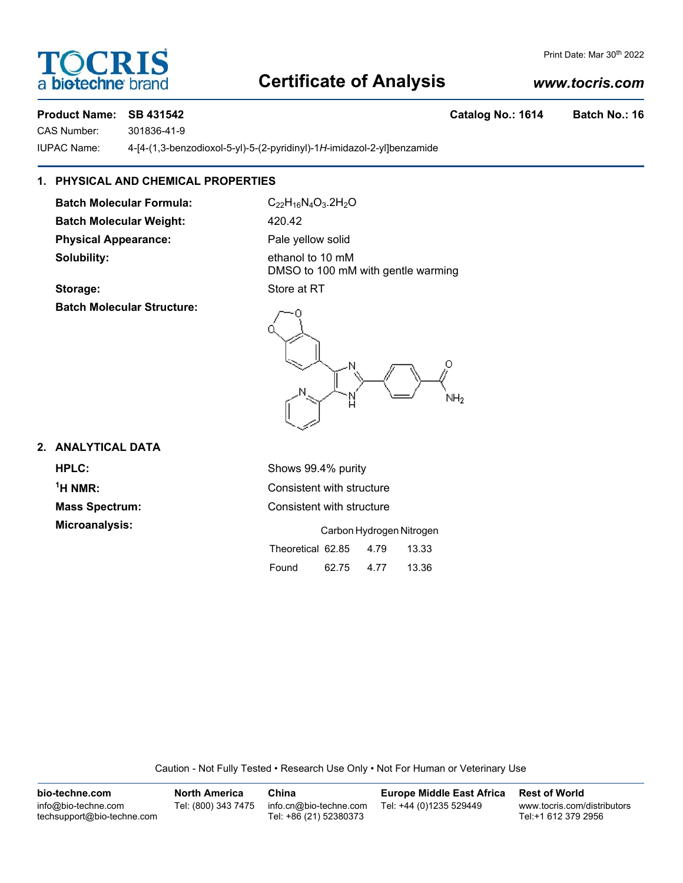## **OCRI** a biotechne

#### Print Date: Mar 30th 2022

### **Certificate of Analysis**

#### *www.tocris.com*

#### **Product Name: SB 431542 Catalog No.: 1614 Batch No.: 16**

CAS Number: 301836-41-9

IUPAC Name: 4-[4-(1,3-benzodioxol-5-yl)-5-(2-pyridinyl)-1*H*-imidazol-2-yl]benzamide

#### **1. PHYSICAL AND CHEMICAL PROPERTIES**

Batch Molecular Formula: C<sub>22</sub>H<sub>16</sub>N<sub>4</sub>O<sub>3</sub>.2H<sub>2</sub>O Batch Molecular Weight: 420.42 **Physical Appearance:** Pale yellow solid **Solubility:** ethanol to 10 mM

DMSO to 100 mM with gentle warming **Storage:** Store at RT

Ω

NН<sub>2</sub>

## **Batch Molecular Structure:**

**2. ANALYTICAL DATA**

 $<sup>1</sup>H NMR$ </sup> **Microanalysis:** 

**HPLC:** Shows 99.4% purity **Consistent with structure Mass Spectrum:** Consistent with structure

|                   | Carbon Hydrogen Nitrogen |      |       |
|-------------------|--------------------------|------|-------|
| Theoretical 62.85 |                          | 4.79 | 13.33 |
| Found             | 62.75                    | 4.77 | 13.36 |

Caution - Not Fully Tested • Research Use Only • Not For Human or Veterinary Use

| bio-techne.com                                    | <b>North America</b> | China                                            | <b>Europe Middle East Africa</b> | <b>Rest of World</b>                               |
|---------------------------------------------------|----------------------|--------------------------------------------------|----------------------------------|----------------------------------------------------|
| info@bio-techne.com<br>techsupport@bio-techne.com | Tel: (800) 343 7475  | info.cn@bio-techne.com<br>Tel: +86 (21) 52380373 | Tel: +44 (0)1235 529449          | www.tocris.com/distributors<br>Tel:+1 612 379 2956 |